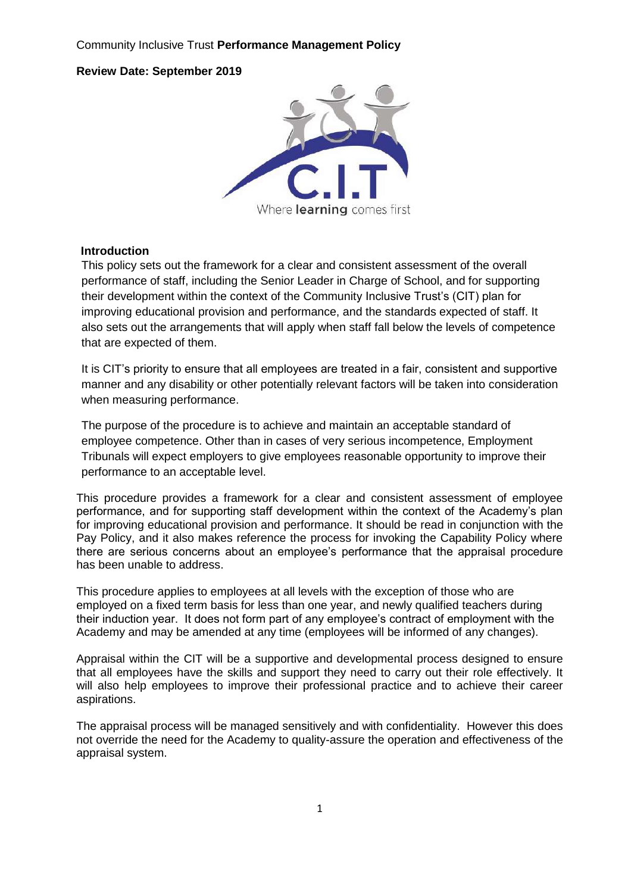### Community Inclusive Trust **Performance Management Policy**

### **Review Date: September 2019**



#### **Introduction**

This policy sets out the framework for a clear and consistent assessment of the overall performance of staff, including the Senior Leader in Charge of School, and for supporting their development within the context of the Community Inclusive Trust's (CIT) plan for improving educational provision and performance, and the standards expected of staff. It also sets out the arrangements that will apply when staff fall below the levels of competence that are expected of them.

It is CIT's priority to ensure that all employees are treated in a fair, consistent and supportive manner and any disability or other potentially relevant factors will be taken into consideration when measuring performance.

The purpose of the procedure is to achieve and maintain an acceptable standard of employee competence. Other than in cases of very serious incompetence, Employment Tribunals will expect employers to give employees reasonable opportunity to improve their performance to an acceptable level.

This procedure provides a framework for a clear and consistent assessment of employee performance, and for supporting staff development within the context of the Academy's plan for improving educational provision and performance. It should be read in conjunction with the Pay Policy, and it also makes reference the process for invoking the Capability Policy where there are serious concerns about an employee's performance that the appraisal procedure has been unable to address.

This procedure applies to employees at all levels with the exception of those who are employed on a fixed term basis for less than one year, and newly qualified teachers during their induction year. It does not form part of any employee's contract of employment with the Academy and may be amended at any time (employees will be informed of any changes).

Appraisal within the CIT will be a supportive and developmental process designed to ensure that all employees have the skills and support they need to carry out their role effectively. It will also help employees to improve their professional practice and to achieve their career aspirations.

The appraisal process will be managed sensitively and with confidentiality. However this does not override the need for the Academy to quality-assure the operation and effectiveness of the appraisal system.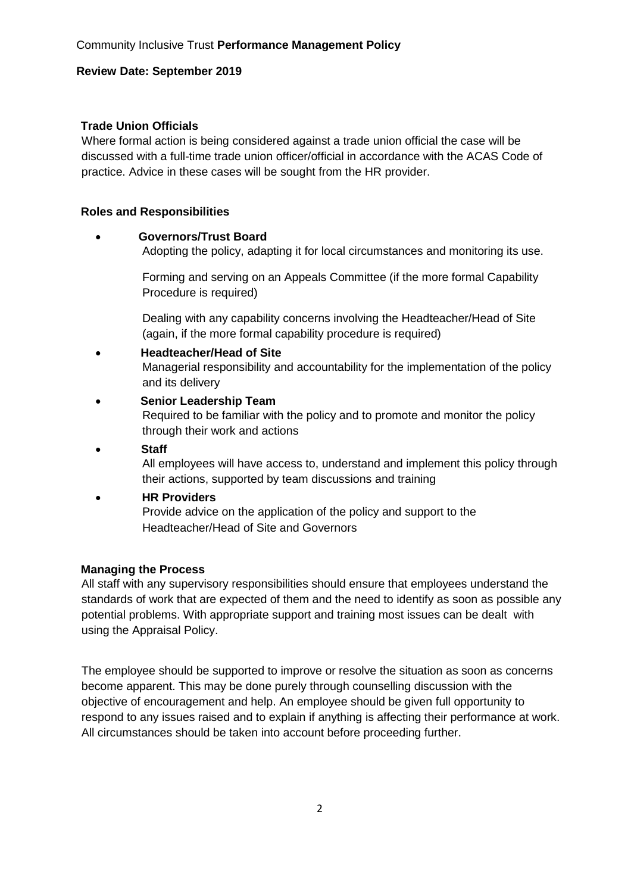### **Trade Union Officials**

Where formal action is being considered against a trade union official the case will be discussed with a full-time trade union officer/official in accordance with the ACAS Code of practice. Advice in these cases will be sought from the HR provider.

### **Roles and Responsibilities**

### **Governors/Trust Board**

Adopting the policy, adapting it for local circumstances and monitoring its use.

Forming and serving on an Appeals Committee (if the more formal Capability Procedure is required)

Dealing with any capability concerns involving the Headteacher/Head of Site (again, if the more formal capability procedure is required)

- **Headteacher/Head of Site**  Managerial responsibility and accountability for the implementation of the policy and its delivery
- **Senior Leadership Team**  Required to be familiar with the policy and to promote and monitor the policy through their work and actions
- **Staff**

All employees will have access to, understand and implement this policy through their actions, supported by team discussions and training

 **HR Providers**  Provide advice on the application of the policy and support to the Headteacher/Head of Site and Governors

### **Managing the Process**

All staff with any supervisory responsibilities should ensure that employees understand the standards of work that are expected of them and the need to identify as soon as possible any potential problems. With appropriate support and training most issues can be dealt with using the Appraisal Policy.

The employee should be supported to improve or resolve the situation as soon as concerns become apparent. This may be done purely through counselling discussion with the objective of encouragement and help. An employee should be given full opportunity to respond to any issues raised and to explain if anything is affecting their performance at work. All circumstances should be taken into account before proceeding further.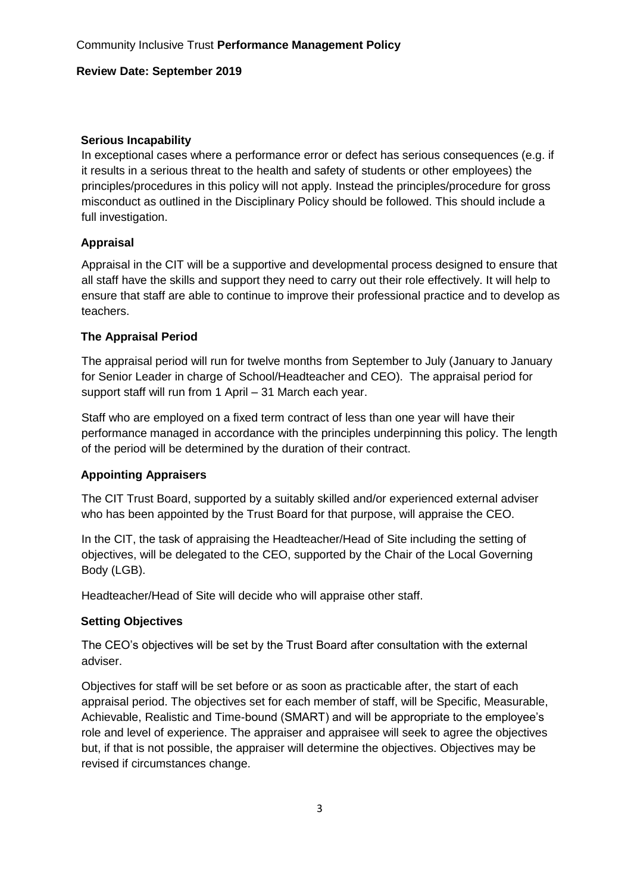### **Serious Incapability**

In exceptional cases where a performance error or defect has serious consequences (e.g. if it results in a serious threat to the health and safety of students or other employees) the principles/procedures in this policy will not apply. Instead the principles/procedure for gross misconduct as outlined in the Disciplinary Policy should be followed. This should include a full investigation.

### **Appraisal**

Appraisal in the CIT will be a supportive and developmental process designed to ensure that all staff have the skills and support they need to carry out their role effectively. It will help to ensure that staff are able to continue to improve their professional practice and to develop as teachers.

### **The Appraisal Period**

The appraisal period will run for twelve months from September to July (January to January for Senior Leader in charge of School/Headteacher and CEO). The appraisal period for support staff will run from 1 April – 31 March each year.

Staff who are employed on a fixed term contract of less than one year will have their performance managed in accordance with the principles underpinning this policy. The length of the period will be determined by the duration of their contract.

### **Appointing Appraisers**

The CIT Trust Board, supported by a suitably skilled and/or experienced external adviser who has been appointed by the Trust Board for that purpose, will appraise the CEO.

In the CIT, the task of appraising the Headteacher/Head of Site including the setting of objectives, will be delegated to the CEO, supported by the Chair of the Local Governing Body (LGB).

Headteacher/Head of Site will decide who will appraise other staff.

### **Setting Objectives**

The CEO's objectives will be set by the Trust Board after consultation with the external adviser.

Objectives for staff will be set before or as soon as practicable after, the start of each appraisal period. The objectives set for each member of staff, will be Specific, Measurable, Achievable, Realistic and Time-bound (SMART) and will be appropriate to the employee's role and level of experience. The appraiser and appraisee will seek to agree the objectives but, if that is not possible, the appraiser will determine the objectives. Objectives may be revised if circumstances change.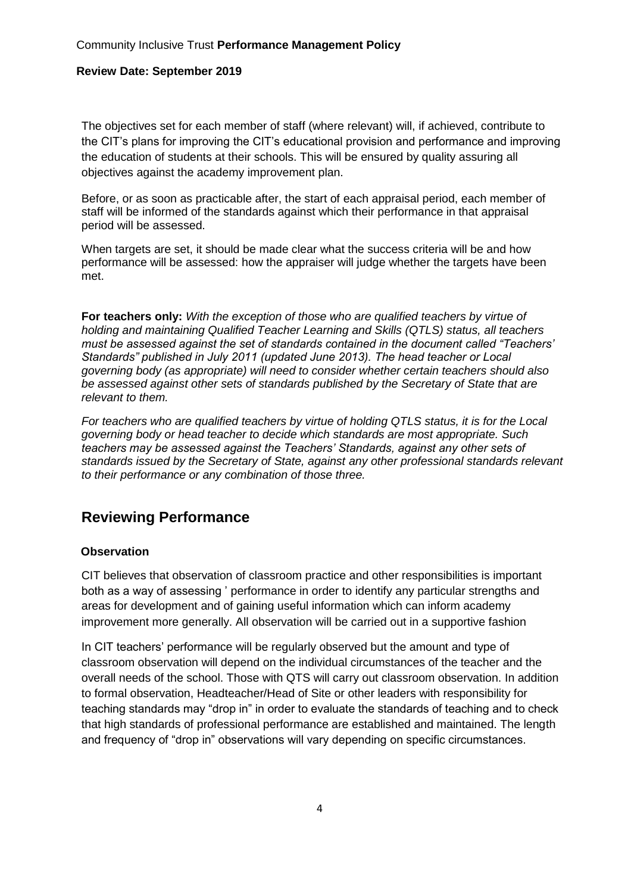The objectives set for each member of staff (where relevant) will, if achieved, contribute to the CIT's plans for improving the CIT's educational provision and performance and improving the education of students at their schools. This will be ensured by quality assuring all objectives against the academy improvement plan.

Before, or as soon as practicable after, the start of each appraisal period, each member of staff will be informed of the standards against which their performance in that appraisal period will be assessed.

When targets are set, it should be made clear what the success criteria will be and how performance will be assessed: how the appraiser will judge whether the targets have been met.

**For teachers only:** *With the exception of those who are qualified teachers by virtue of holding and maintaining Qualified Teacher Learning and Skills (QTLS) status, all teachers must be assessed against the set of standards contained in the document called "Teachers' Standards" published in July 2011 (updated June 2013). The head teacher or Local governing body (as appropriate) will need to consider whether certain teachers should also be assessed against other sets of standards published by the Secretary of State that are relevant to them.* 

*For teachers who are qualified teachers by virtue of holding QTLS status, it is for the Local governing body or head teacher to decide which standards are most appropriate. Such teachers may be assessed against the Teachers' Standards, against any other sets of standards issued by the Secretary of State, against any other professional standards relevant to their performance or any combination of those three.* 

## **Reviewing Performance**

### **Observation**

CIT believes that observation of classroom practice and other responsibilities is important both as a way of assessing ' performance in order to identify any particular strengths and areas for development and of gaining useful information which can inform academy improvement more generally. All observation will be carried out in a supportive fashion

In CIT teachers' performance will be regularly observed but the amount and type of classroom observation will depend on the individual circumstances of the teacher and the overall needs of the school. Those with QTS will carry out classroom observation. In addition to formal observation, Headteacher/Head of Site or other leaders with responsibility for teaching standards may "drop in" in order to evaluate the standards of teaching and to check that high standards of professional performance are established and maintained. The length and frequency of "drop in" observations will vary depending on specific circumstances.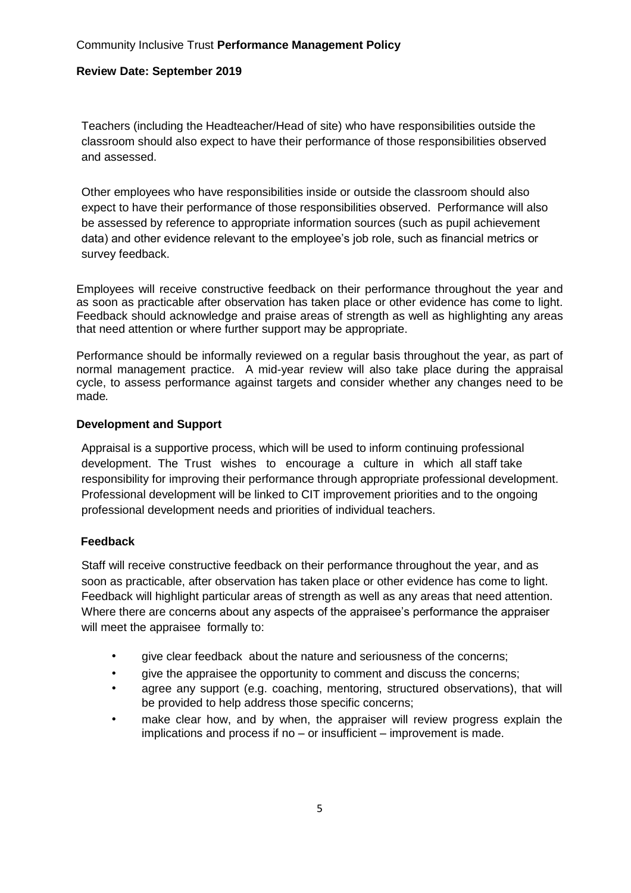Teachers (including the Headteacher/Head of site) who have responsibilities outside the classroom should also expect to have their performance of those responsibilities observed and assessed.

Other employees who have responsibilities inside or outside the classroom should also expect to have their performance of those responsibilities observed. Performance will also be assessed by reference to appropriate information sources (such as pupil achievement data) and other evidence relevant to the employee's job role, such as financial metrics or survey feedback.

Employees will receive constructive feedback on their performance throughout the year and as soon as practicable after observation has taken place or other evidence has come to light. Feedback should acknowledge and praise areas of strength as well as highlighting any areas that need attention or where further support may be appropriate.

Performance should be informally reviewed on a regular basis throughout the year, as part of normal management practice. A mid-year review will also take place during the appraisal cycle, to assess performance against targets and consider whether any changes need to be made*.* 

### **Development and Support**

Appraisal is a supportive process, which will be used to inform continuing professional development. The Trust wishes to encourage a culture in which all staff take responsibility for improving their performance through appropriate professional development. Professional development will be linked to CIT improvement priorities and to the ongoing professional development needs and priorities of individual teachers.

### **Feedback**

Staff will receive constructive feedback on their performance throughout the year, and as soon as practicable, after observation has taken place or other evidence has come to light. Feedback will highlight particular areas of strength as well as any areas that need attention. Where there are concerns about any aspects of the appraisee's performance the appraiser will meet the appraisee formally to:

- give clear feedback about the nature and seriousness of the concerns;
- give the appraisee the opportunity to comment and discuss the concerns;
- agree any support (e.g. coaching, mentoring, structured observations), that will be provided to help address those specific concerns;
- make clear how, and by when, the appraiser will review progress explain the implications and process if no – or insufficient – improvement is made.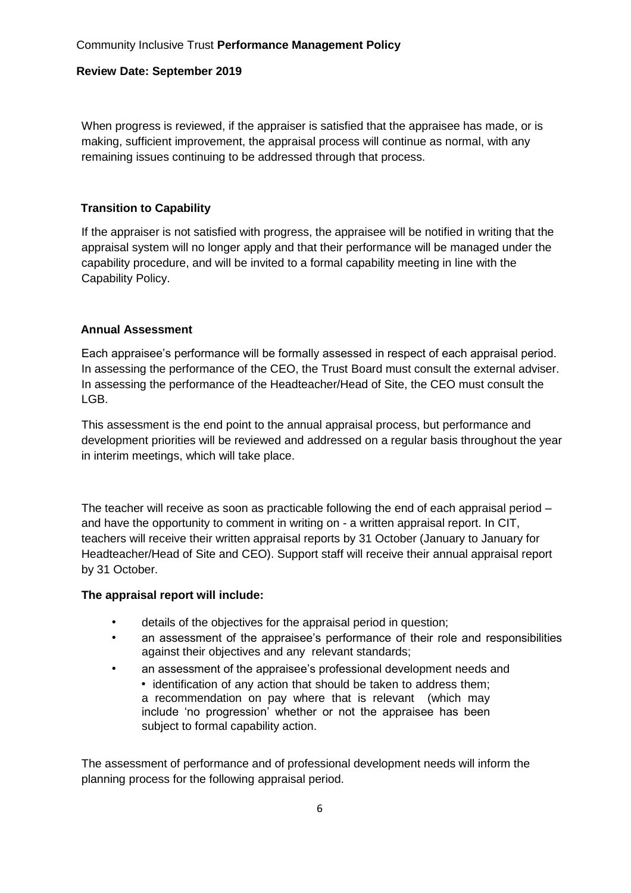When progress is reviewed, if the appraiser is satisfied that the appraisee has made, or is making, sufficient improvement, the appraisal process will continue as normal, with any remaining issues continuing to be addressed through that process.

### **Transition to Capability**

If the appraiser is not satisfied with progress, the appraisee will be notified in writing that the appraisal system will no longer apply and that their performance will be managed under the capability procedure, and will be invited to a formal capability meeting in line with the Capability Policy.

### **Annual Assessment**

Each appraisee's performance will be formally assessed in respect of each appraisal period. In assessing the performance of the CEO, the Trust Board must consult the external adviser. In assessing the performance of the Headteacher/Head of Site, the CEO must consult the LGB.

This assessment is the end point to the annual appraisal process, but performance and development priorities will be reviewed and addressed on a regular basis throughout the year in interim meetings, which will take place.

The teacher will receive as soon as practicable following the end of each appraisal period – and have the opportunity to comment in writing on - a written appraisal report. In CIT, teachers will receive their written appraisal reports by 31 October (January to January for Headteacher/Head of Site and CEO). Support staff will receive their annual appraisal report by 31 October.

### **The appraisal report will include:**

- details of the objectives for the appraisal period in question;
- an assessment of the appraisee's performance of their role and responsibilities against their objectives and any relevant standards;
- an assessment of the appraisee's professional development needs and • identification of any action that should be taken to address them; a recommendation on pay where that is relevant (which may include 'no progression' whether or not the appraisee has been subject to formal capability action.

The assessment of performance and of professional development needs will inform the planning process for the following appraisal period.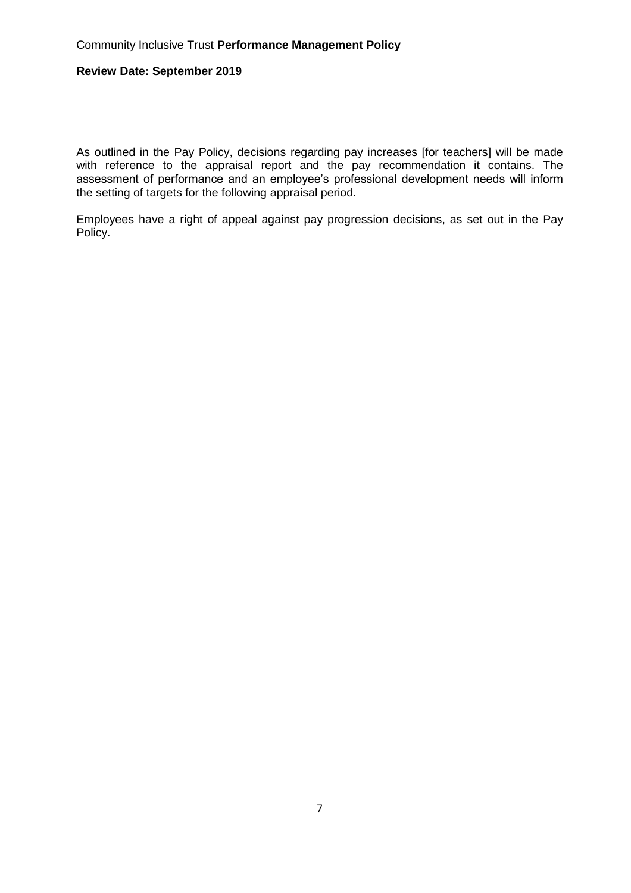As outlined in the Pay Policy, decisions regarding pay increases [for teachers] will be made with reference to the appraisal report and the pay recommendation it contains. The assessment of performance and an employee's professional development needs will inform the setting of targets for the following appraisal period.

Employees have a right of appeal against pay progression decisions, as set out in the Pay Policy.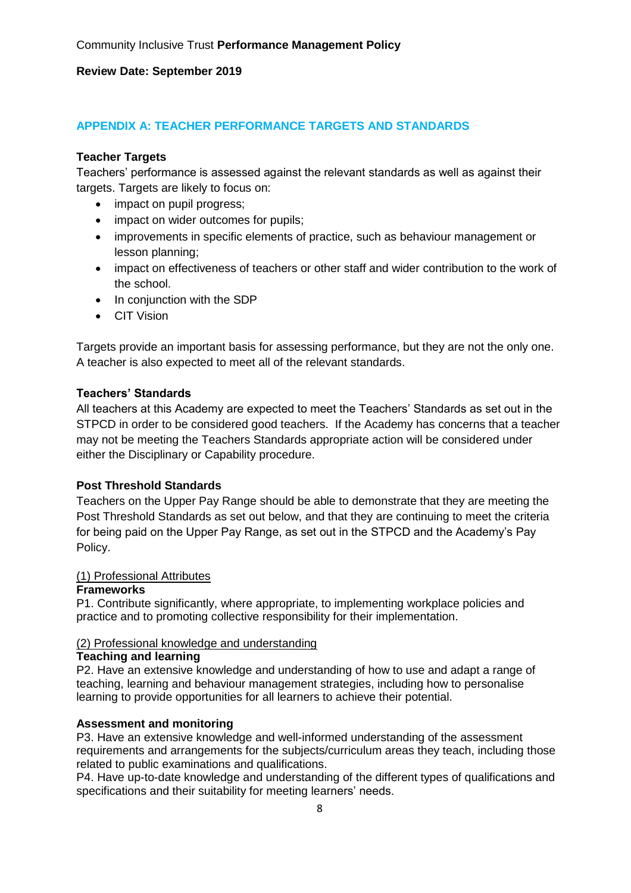### **APPENDIX A: TEACHER PERFORMANCE TARGETS AND STANDARDS**

### **Teacher Targets**

Teachers' performance is assessed against the relevant standards as well as against their targets. Targets are likely to focus on:

- impact on pupil progress;
- impact on wider outcomes for pupils;
- improvements in specific elements of practice, such as behaviour management or lesson planning;
- impact on effectiveness of teachers or other staff and wider contribution to the work of the school.
- In conjunction with the SDP
- CIT Vision

Targets provide an important basis for assessing performance, but they are not the only one. A teacher is also expected to meet all of the relevant standards.

### **Teachers' Standards**

All teachers at this Academy are expected to meet the Teachers' Standards as set out in the STPCD in order to be considered good teachers. If the Academy has concerns that a teacher may not be meeting the Teachers Standards appropriate action will be considered under either the Disciplinary or Capability procedure.

### **Post Threshold Standards**

Teachers on the Upper Pay Range should be able to demonstrate that they are meeting the Post Threshold Standards as set out below, and that they are continuing to meet the criteria for being paid on the Upper Pay Range, as set out in the STPCD and the Academy's Pay Policy.

### (1) Professional Attributes

### **Frameworks**

P1. Contribute significantly, where appropriate, to implementing workplace policies and practice and to promoting collective responsibility for their implementation.

### (2) Professional knowledge and understanding

#### **Teaching and learning**

P2. Have an extensive knowledge and understanding of how to use and adapt a range of teaching, learning and behaviour management strategies, including how to personalise learning to provide opportunities for all learners to achieve their potential.

### **Assessment and monitoring**

P3. Have an extensive knowledge and well-informed understanding of the assessment requirements and arrangements for the subjects/curriculum areas they teach, including those related to public examinations and qualifications.

P4. Have up-to-date knowledge and understanding of the different types of qualifications and specifications and their suitability for meeting learners' needs.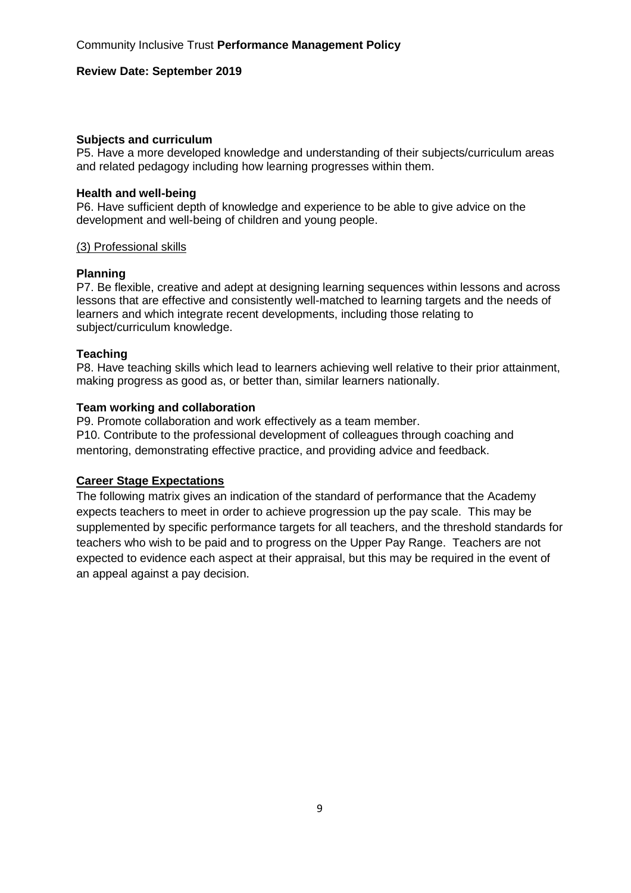#### **Subjects and curriculum**

P5. Have a more developed knowledge and understanding of their subjects/curriculum areas and related pedagogy including how learning progresses within them.

#### **Health and well-being**

P6. Have sufficient depth of knowledge and experience to be able to give advice on the development and well-being of children and young people.

#### (3) Professional skills

#### **Planning**

P7. Be flexible, creative and adept at designing learning sequences within lessons and across lessons that are effective and consistently well-matched to learning targets and the needs of learners and which integrate recent developments, including those relating to subject/curriculum knowledge.

### **Teaching**

P8. Have teaching skills which lead to learners achieving well relative to their prior attainment, making progress as good as, or better than, similar learners nationally.

#### **Team working and collaboration**

P9. Promote collaboration and work effectively as a team member. P10. Contribute to the professional development of colleagues through coaching and mentoring, demonstrating effective practice, and providing advice and feedback.

### **Career Stage Expectations**

The following matrix gives an indication of the standard of performance that the Academy expects teachers to meet in order to achieve progression up the pay scale. This may be supplemented by specific performance targets for all teachers, and the threshold standards for teachers who wish to be paid and to progress on the Upper Pay Range. Teachers are not expected to evidence each aspect at their appraisal, but this may be required in the event of an appeal against a pay decision.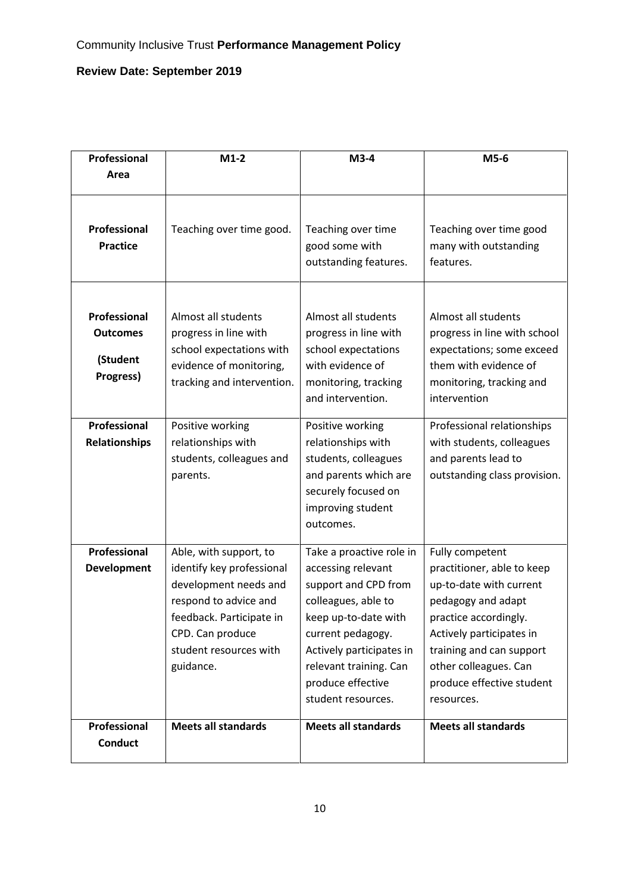| Professional                                             | $M1-2$                                                                                                                                                                                       | $M3-4$                                                                                                                                                                                                                                      | M5-6                                                                                                                                                                                                                                                |
|----------------------------------------------------------|----------------------------------------------------------------------------------------------------------------------------------------------------------------------------------------------|---------------------------------------------------------------------------------------------------------------------------------------------------------------------------------------------------------------------------------------------|-----------------------------------------------------------------------------------------------------------------------------------------------------------------------------------------------------------------------------------------------------|
| Area                                                     |                                                                                                                                                                                              |                                                                                                                                                                                                                                             |                                                                                                                                                                                                                                                     |
| Professional<br><b>Practice</b>                          | Teaching over time good.                                                                                                                                                                     | Teaching over time<br>good some with<br>outstanding features.                                                                                                                                                                               | Teaching over time good<br>many with outstanding<br>features.                                                                                                                                                                                       |
| Professional<br><b>Outcomes</b><br>(Student<br>Progress) | Almost all students<br>progress in line with<br>school expectations with<br>evidence of monitoring,<br>tracking and intervention.                                                            | Almost all students<br>progress in line with<br>school expectations<br>with evidence of<br>monitoring, tracking<br>and intervention.                                                                                                        | Almost all students<br>progress in line with school<br>expectations; some exceed<br>them with evidence of<br>monitoring, tracking and<br>intervention                                                                                               |
| Professional<br><b>Relationships</b>                     | Positive working<br>relationships with<br>students, colleagues and<br>parents.                                                                                                               | Positive working<br>relationships with<br>students, colleagues<br>and parents which are<br>securely focused on<br>improving student<br>outcomes.                                                                                            | Professional relationships<br>with students, colleagues<br>and parents lead to<br>outstanding class provision.                                                                                                                                      |
| Professional<br>Development                              | Able, with support, to<br>identify key professional<br>development needs and<br>respond to advice and<br>feedback. Participate in<br>CPD. Can produce<br>student resources with<br>guidance. | Take a proactive role in<br>accessing relevant<br>support and CPD from<br>colleagues, able to<br>keep up-to-date with<br>current pedagogy.<br>Actively participates in<br>relevant training. Can<br>produce effective<br>student resources. | Fully competent<br>practitioner, able to keep<br>up-to-date with current<br>pedagogy and adapt<br>practice accordingly.<br>Actively participates in<br>training and can support<br>other colleagues. Can<br>produce effective student<br>resources. |
| Professional<br><b>Conduct</b>                           | <b>Meets all standards</b>                                                                                                                                                                   | <b>Meets all standards</b>                                                                                                                                                                                                                  | <b>Meets all standards</b>                                                                                                                                                                                                                          |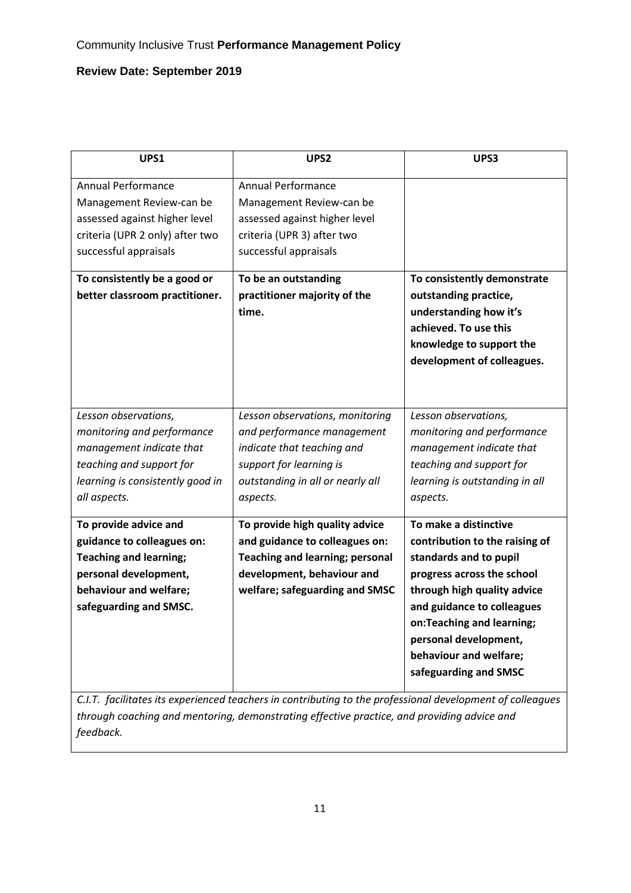| UPS1                                                                                                                                                                                                                 | UPS <sub>2</sub>                                                                                                                                                                                        | UPS3                                                                                                                                                                                                                                                                                              |
|----------------------------------------------------------------------------------------------------------------------------------------------------------------------------------------------------------------------|---------------------------------------------------------------------------------------------------------------------------------------------------------------------------------------------------------|---------------------------------------------------------------------------------------------------------------------------------------------------------------------------------------------------------------------------------------------------------------------------------------------------|
| <b>Annual Performance</b><br>Management Review-can be<br>assessed against higher level<br>criteria (UPR 2 only) after two<br>successful appraisals<br>To consistently be a good or<br>better classroom practitioner. | Annual Performance<br>Management Review-can be<br>assessed against higher level<br>criteria (UPR 3) after two<br>successful appraisals<br>To be an outstanding<br>practitioner majority of the<br>time. | To consistently demonstrate<br>outstanding practice,<br>understanding how it's<br>achieved. To use this<br>knowledge to support the<br>development of colleagues.                                                                                                                                 |
| Lesson observations,<br>monitoring and performance<br>management indicate that<br>teaching and support for<br>learning is consistently good in                                                                       | Lesson observations, monitoring<br>and performance management<br>indicate that teaching and<br>support for learning is<br>outstanding in all or nearly all                                              | Lesson observations,<br>monitoring and performance<br>management indicate that<br>teaching and support for<br>learning is outstanding in all                                                                                                                                                      |
| all aspects.<br>To provide advice and<br>guidance to colleagues on:<br><b>Teaching and learning;</b><br>personal development,<br>behaviour and welfare;<br>safeguarding and SMSC.                                    | aspects.<br>To provide high quality advice<br>and guidance to colleagues on:<br><b>Teaching and learning; personal</b><br>development, behaviour and<br>welfare; safeguarding and SMSC                  | aspects.<br>To make a distinctive<br>contribution to the raising of<br>standards and to pupil<br>progress across the school<br>through high quality advice<br>and guidance to colleagues<br>on:Teaching and learning;<br>personal development,<br>behaviour and welfare;<br>safeguarding and SMSC |

*C.I.T. facilitates its experienced teachers in contributing to the professional development of colleagues through coaching and mentoring, demonstrating effective practice, and providing advice and feedback.*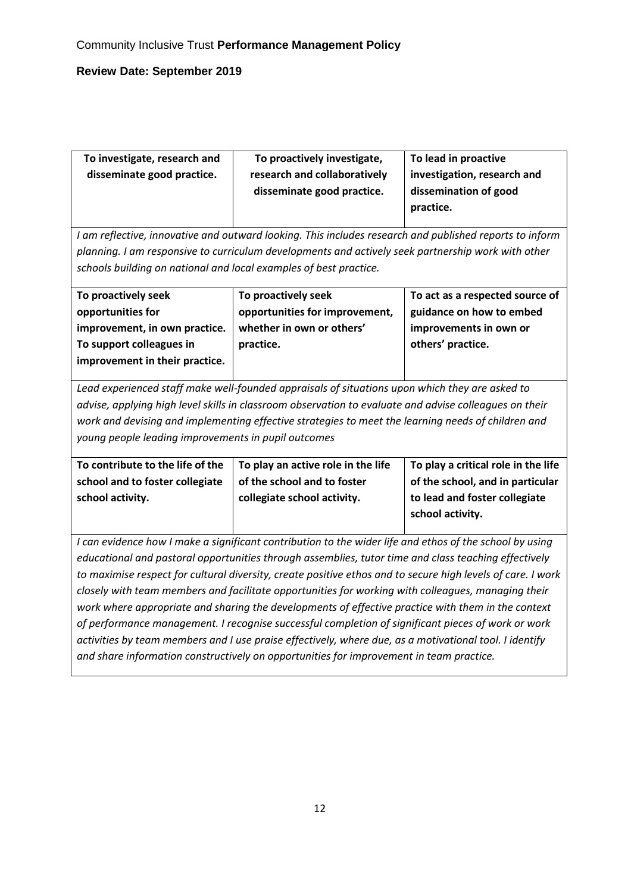| To proactively investigate,  | To lead in proactive        |
|------------------------------|-----------------------------|
| research and collaboratively | investigation, research and |
| disseminate good practice.   | dissemination of good       |
|                              | practice.                   |
|                              |                             |

*I am reflective, innovative and outward looking. This includes research and published reports to inform planning. I am responsive to curriculum developments and actively seek partnership work with other schools building on national and local examples of best practice.*

| To proactively seek            | To proactively seek            | To act as a respected source of |
|--------------------------------|--------------------------------|---------------------------------|
| opportunities for              | opportunities for improvement, | guidance on how to embed        |
| improvement, in own practice.  | whether in own or others'      | improvements in own or          |
| To support colleagues in       | practice.                      | others' practice.               |
| improvement in their practice. |                                |                                 |

*Lead experienced staff make well-founded appraisals of situations upon which they are asked to advise, applying high level skills in classroom observation to evaluate and advise colleagues on their work and devising and implementing effective strategies to meet the learning needs of children and young people leading improvements in pupil outcomes*

| To contribute to the life of the | To play an active role in the life | To play a critical role in the life |
|----------------------------------|------------------------------------|-------------------------------------|
| school and to foster collegiate  | of the school and to foster        | of the school, and in particular    |
| school activity.                 | collegiate school activity.        | to lead and foster collegiate       |
|                                  |                                    | school activity.                    |

*I can evidence how I make a significant contribution to the wider life and ethos of the school by using educational and pastoral opportunities through assemblies, tutor time and class teaching effectively to maximise respect for cultural diversity, create positive ethos and to secure high levels of care. I work closely with team members and facilitate opportunities for working with colleagues, managing their work where appropriate and sharing the developments of effective practice with them in the context of performance management. I recognise successful completion of significant pieces of work or work activities by team members and I use praise effectively, where due, as a motivational tool. I identify and share information constructively on opportunities for improvement in team practice.*